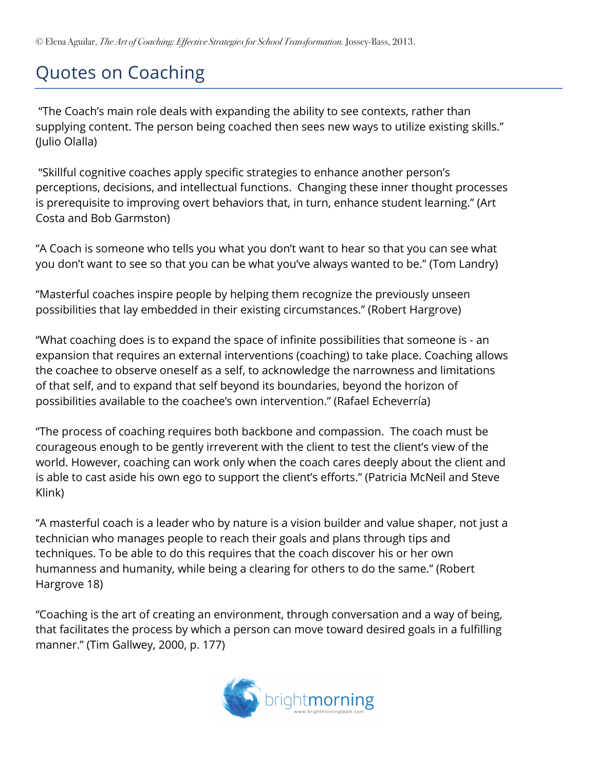## Quotes on Coaching

"The Coach's main role deals with expanding the ability to see contexts, rather than supplying content. The person being coached then sees new ways to utilize existing skills." (Julio Olalla)

"Skillful cognitive coaches apply specific strategies to enhance another person's perceptions, decisions, and intellectual functions. Changing these inner thought processes is prerequisite to improving overt behaviors that, in turn, enhance student learning." (Art Costa and Bob Garmston)

"A Coach is someone who tells you what you don't want to hear so that you can see what you don't want to see so that you can be what you've always wanted to be." (Tom Landry)

"Masterful coaches inspire people by helping them recognize the previously unseen possibilities that lay embedded in their existing circumstances." (Robert Hargrove)

"What coaching does is to expand the space of infinite possibilities that someone is - an expansion that requires an external interventions (coaching) to take place. Coaching allows the coachee to observe oneself as a self, to acknowledge the narrowness and limitations of that self, and to expand that self beyond its boundaries, beyond the horizon of possibilities available to the coachee's own intervention." (Rafael Echeverría)

"The process of coaching requires both backbone and compassion. The coach must be courageous enough to be gently irreverent with the client to test the client's view of the world. However, coaching can work only when the coach cares deeply about the client and is able to cast aside his own ego to support the client's efforts." (Patricia McNeil and Steve Klink)

"A masterful coach is a leader who by nature is a vision builder and value shaper, not just a technician who manages people to reach their goals and plans through tips and techniques. To be able to do this requires that the coach discover his or her own humanness and humanity, while being a clearing for others to do the same." (Robert Hargrove 18)

"Coaching is the art of creating an environment, through conversation and a way of being, that facilitates the process by which a person can move toward desired goals in a fulfilling manner." (Tim Gallwey, 2000, p. 177)